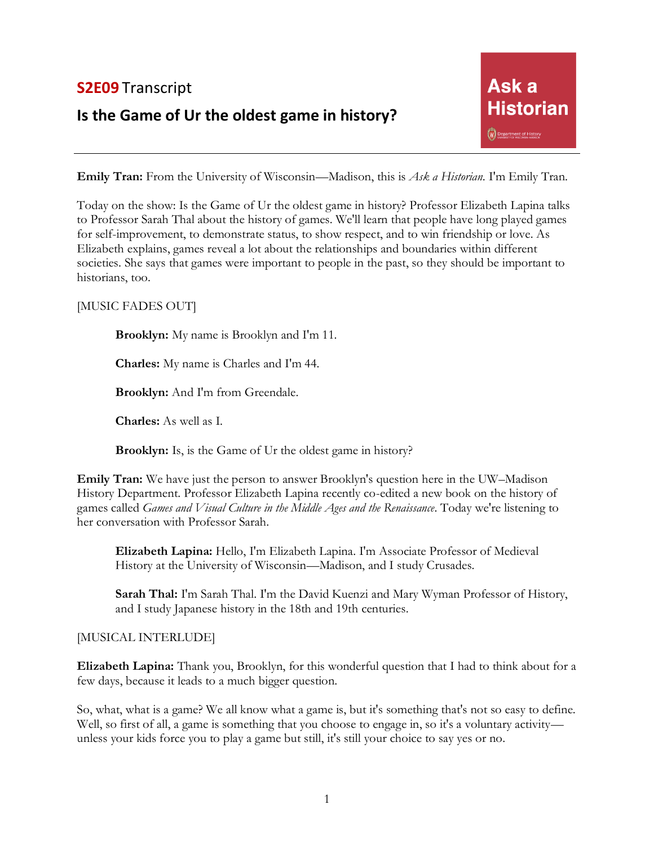# **S2E09** Transcript

# **Is the Game of Ur the oldest game in history?**

**Emily Tran:** From the University of Wisconsin—Madison, this is *Ask a Historian*. I'm Emily Tran.

Today on the show: Is the Game of Ur the oldest game in history? Professor Elizabeth Lapina talks to Professor Sarah Thal about the history of games. We'll learn that people have long played games for self-improvement, to demonstrate status, to show respect, and to win friendship or love. As Elizabeth explains, games reveal a lot about the relationships and boundaries within different societies. She says that games were important to people in the past, so they should be important to historians, too.

## [MUSIC FADES OUT]

**Brooklyn:** My name is Brooklyn and I'm 11.

**Charles:** My name is Charles and I'm 44.

**Brooklyn:** And I'm from Greendale.

**Charles:** As well as I.

**Brooklyn:** Is, is the Game of Ur the oldest game in history?

**Emily Tran:** We have just the person to answer Brooklyn's question here in the UW–Madison History Department. Professor Elizabeth Lapina recently co-edited a new book on the history of games called *Games and Visual Culture in the Middle Ages and the Renaissance*. Today we're listening to her conversation with Professor Sarah.

**Elizabeth Lapina:** Hello, I'm Elizabeth Lapina. I'm Associate Professor of Medieval History at the University of Wisconsin—Madison, and I study Crusades.

**Sarah Thal:** I'm Sarah Thal. I'm the David Kuenzi and Mary Wyman Professor of History, and I study Japanese history in the 18th and 19th centuries.

#### [MUSICAL INTERLUDE]

**Elizabeth Lapina:** Thank you, Brooklyn, for this wonderful question that I had to think about for a few days, because it leads to a much bigger question.

So, what, what is a game? We all know what a game is, but it's something that's not so easy to define. Well, so first of all, a game is something that you choose to engage in, so it's a voluntary activity unless your kids force you to play a game but still, it's still your choice to say yes or no.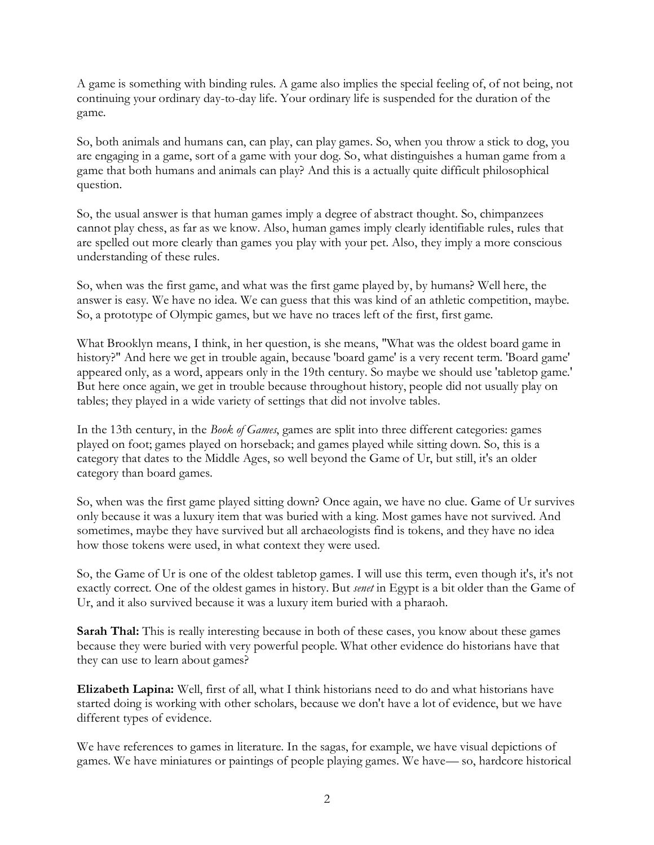A game is something with binding rules. A game also implies the special feeling of, of not being, not continuing your ordinary day-to-day life. Your ordinary life is suspended for the duration of the game.

So, both animals and humans can, can play, can play games. So, when you throw a stick to dog, you are engaging in a game, sort of a game with your dog. So, what distinguishes a human game from a game that both humans and animals can play? And this is a actually quite difficult philosophical question.

So, the usual answer is that human games imply a degree of abstract thought. So, chimpanzees cannot play chess, as far as we know. Also, human games imply clearly identifiable rules, rules that are spelled out more clearly than games you play with your pet. Also, they imply a more conscious understanding of these rules.

So, when was the first game, and what was the first game played by, by humans? Well here, the answer is easy. We have no idea. We can guess that this was kind of an athletic competition, maybe. So, a prototype of Olympic games, but we have no traces left of the first, first game.

What Brooklyn means, I think, in her question, is she means, "What was the oldest board game in history?" And here we get in trouble again, because 'board game' is a very recent term. 'Board game' appeared only, as a word, appears only in the 19th century. So maybe we should use 'tabletop game.' But here once again, we get in trouble because throughout history, people did not usually play on tables; they played in a wide variety of settings that did not involve tables.

In the 13th century, in the *Book of Games*, games are split into three different categories: games played on foot; games played on horseback; and games played while sitting down. So, this is a category that dates to the Middle Ages, so well beyond the Game of Ur, but still, it's an older category than board games.

So, when was the first game played sitting down? Once again, we have no clue. Game of Ur survives only because it was a luxury item that was buried with a king. Most games have not survived. And sometimes, maybe they have survived but all archaeologists find is tokens, and they have no idea how those tokens were used, in what context they were used.

So, the Game of Ur is one of the oldest tabletop games. I will use this term, even though it's, it's not exactly correct. One of the oldest games in history. But *senet* in Egypt is a bit older than the Game of Ur, and it also survived because it was a luxury item buried with a pharaoh.

**Sarah Thal:** This is really interesting because in both of these cases, you know about these games because they were buried with very powerful people. What other evidence do historians have that they can use to learn about games?

**Elizabeth Lapina:** Well, first of all, what I think historians need to do and what historians have started doing is working with other scholars, because we don't have a lot of evidence, but we have different types of evidence.

We have references to games in literature. In the sagas, for example, we have visual depictions of games. We have miniatures or paintings of people playing games. We have— so, hardcore historical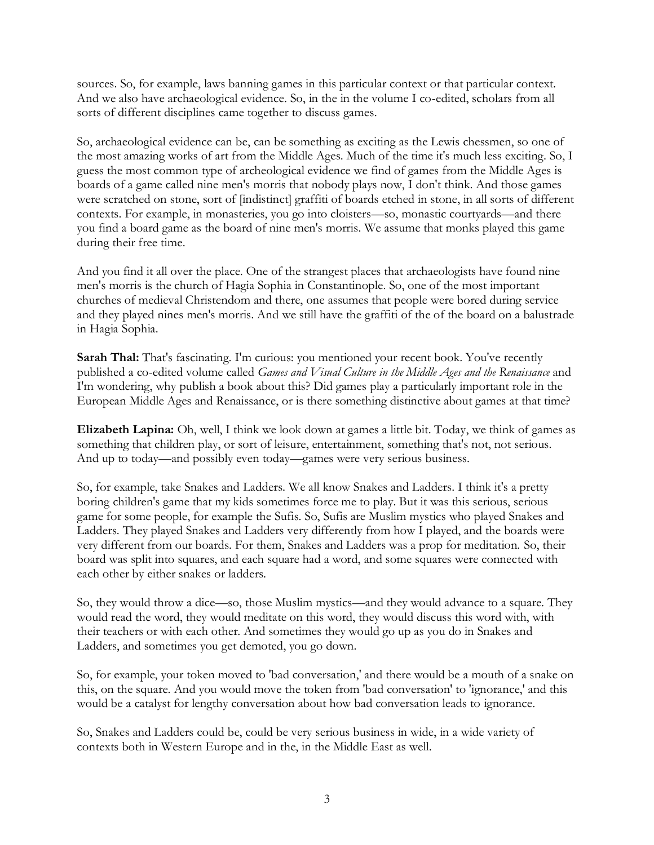sources. So, for example, laws banning games in this particular context or that particular context. And we also have archaeological evidence. So, in the in the volume I co-edited, scholars from all sorts of different disciplines came together to discuss games.

So, archaeological evidence can be, can be something as exciting as the Lewis chessmen, so one of the most amazing works of art from the Middle Ages. Much of the time it's much less exciting. So, I guess the most common type of archeological evidence we find of games from the Middle Ages is boards of a game called nine men's morris that nobody plays now, I don't think. And those games were scratched on stone, sort of [indistinct] graffiti of boards etched in stone, in all sorts of different contexts. For example, in monasteries, you go into cloisters—so, monastic courtyards—and there you find a board game as the board of nine men's morris. We assume that monks played this game during their free time.

And you find it all over the place. One of the strangest places that archaeologists have found nine men's morris is the church of Hagia Sophia in Constantinople. So, one of the most important churches of medieval Christendom and there, one assumes that people were bored during service and they played nines men's morris. And we still have the graffiti of the of the board on a balustrade in Hagia Sophia.

**Sarah Thal:** That's fascinating. I'm curious: you mentioned your recent book. You've recently published a co-edited volume called *Games and Visual Culture in the Middle Ages and the Renaissance* and I'm wondering, why publish a book about this? Did games play a particularly important role in the European Middle Ages and Renaissance, or is there something distinctive about games at that time?

**Elizabeth Lapina:** Oh, well, I think we look down at games a little bit. Today, we think of games as something that children play, or sort of leisure, entertainment, something that's not, not serious. And up to today—and possibly even today—games were very serious business.

So, for example, take Snakes and Ladders. We all know Snakes and Ladders. I think it's a pretty boring children's game that my kids sometimes force me to play. But it was this serious, serious game for some people, for example the Sufis. So, Sufis are Muslim mystics who played Snakes and Ladders. They played Snakes and Ladders very differently from how I played, and the boards were very different from our boards. For them, Snakes and Ladders was a prop for meditation. So, their board was split into squares, and each square had a word, and some squares were connected with each other by either snakes or ladders.

So, they would throw a dice—so, those Muslim mystics—and they would advance to a square. They would read the word, they would meditate on this word, they would discuss this word with, with their teachers or with each other. And sometimes they would go up as you do in Snakes and Ladders, and sometimes you get demoted, you go down.

So, for example, your token moved to 'bad conversation,' and there would be a mouth of a snake on this, on the square. And you would move the token from 'bad conversation' to 'ignorance,' and this would be a catalyst for lengthy conversation about how bad conversation leads to ignorance.

So, Snakes and Ladders could be, could be very serious business in wide, in a wide variety of contexts both in Western Europe and in the, in the Middle East as well.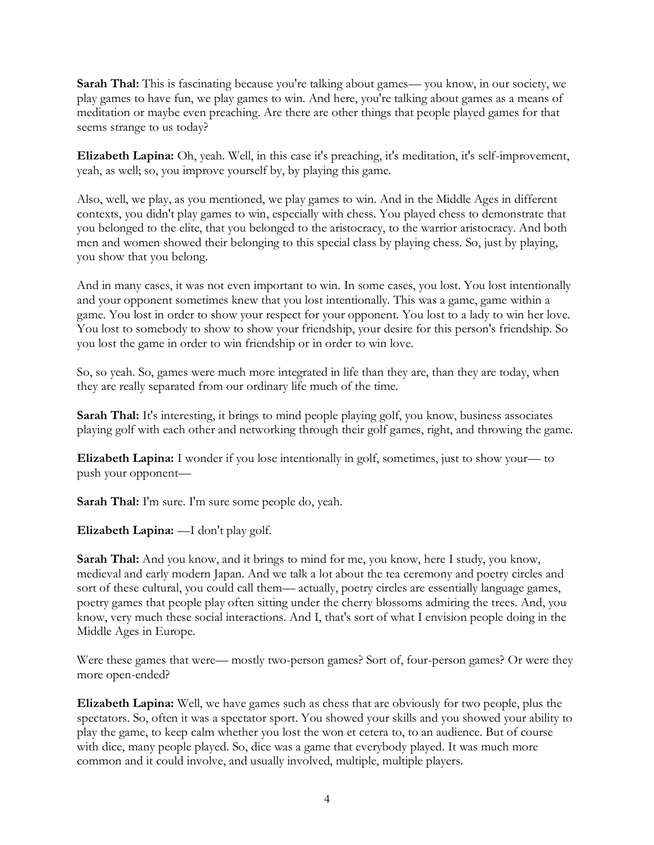**Sarah Thal:** This is fascinating because you're talking about games— you know, in our society, we play games to have fun, we play games to win. And here, you're talking about games as a means of meditation or maybe even preaching. Are there are other things that people played games for that seems strange to us today?

**Elizabeth Lapina:** Oh, yeah. Well, in this case it's preaching, it's meditation, it's self-improvement, yeah, as well; so, you improve yourself by, by playing this game.

Also, well, we play, as you mentioned, we play games to win. And in the Middle Ages in different contexts, you didn't play games to win, especially with chess. You played chess to demonstrate that you belonged to the elite, that you belonged to the aristocracy, to the warrior aristocracy. And both men and women showed their belonging to this special class by playing chess. So, just by playing, you show that you belong.

And in many cases, it was not even important to win. In some cases, you lost. You lost intentionally and your opponent sometimes knew that you lost intentionally. This was a game, game within a game. You lost in order to show your respect for your opponent. You lost to a lady to win her love. You lost to somebody to show to show your friendship, your desire for this person's friendship. So you lost the game in order to win friendship or in order to win love.

So, so yeah. So, games were much more integrated in life than they are, than they are today, when they are really separated from our ordinary life much of the time.

**Sarah Thal:** It's interesting, it brings to mind people playing golf, you know, business associates playing golf with each other and networking through their golf games, right, and throwing the game.

**Elizabeth Lapina:** I wonder if you lose intentionally in golf, sometimes, just to show your— to push your opponent—

**Sarah Thal:** I'm sure. I'm sure some people do, yeah.

**Elizabeth Lapina:** —I don't play golf.

**Sarah Thal:** And you know, and it brings to mind for me, you know, here I study, you know, medieval and early modern Japan. And we talk a lot about the tea ceremony and poetry circles and sort of these cultural, you could call them— actually, poetry circles are essentially language games, poetry games that people play often sitting under the cherry blossoms admiring the trees. And, you know, very much these social interactions. And I, that's sort of what I envision people doing in the Middle Ages in Europe.

Were these games that were— mostly two-person games? Sort of, four-person games? Or were they more open-ended?

**Elizabeth Lapina:** Well, we have games such as chess that are obviously for two people, plus the spectators. So, often it was a spectator sport. You showed your skills and you showed your ability to play the game, to keep calm whether you lost the won et cetera to, to an audience. But of course with dice, many people played. So, dice was a game that everybody played. It was much more common and it could involve, and usually involved, multiple, multiple players.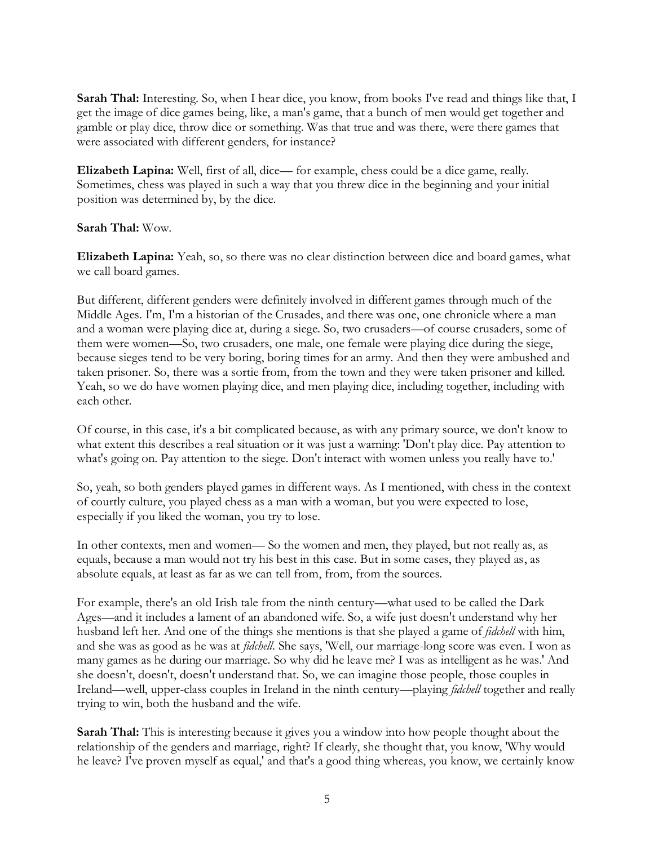**Sarah Thal:** Interesting. So, when I hear dice, you know, from books I've read and things like that, I get the image of dice games being, like, a man's game, that a bunch of men would get together and gamble or play dice, throw dice or something. Was that true and was there, were there games that were associated with different genders, for instance?

**Elizabeth Lapina:** Well, first of all, dice— for example, chess could be a dice game, really. Sometimes, chess was played in such a way that you threw dice in the beginning and your initial position was determined by, by the dice.

#### **Sarah Thal:** Wow.

**Elizabeth Lapina:** Yeah, so, so there was no clear distinction between dice and board games, what we call board games.

But different, different genders were definitely involved in different games through much of the Middle Ages. I'm, I'm a historian of the Crusades, and there was one, one chronicle where a man and a woman were playing dice at, during a siege. So, two crusaders—of course crusaders, some of them were women—So, two crusaders, one male, one female were playing dice during the siege, because sieges tend to be very boring, boring times for an army. And then they were ambushed and taken prisoner. So, there was a sortie from, from the town and they were taken prisoner and killed. Yeah, so we do have women playing dice, and men playing dice, including together, including with each other.

Of course, in this case, it's a bit complicated because, as with any primary source, we don't know to what extent this describes a real situation or it was just a warning: 'Don't play dice. Pay attention to what's going on. Pay attention to the siege. Don't interact with women unless you really have to.'

So, yeah, so both genders played games in different ways. As I mentioned, with chess in the context of courtly culture, you played chess as a man with a woman, but you were expected to lose, especially if you liked the woman, you try to lose.

In other contexts, men and women— So the women and men, they played, but not really as, as equals, because a man would not try his best in this case. But in some cases, they played as, as absolute equals, at least as far as we can tell from, from, from the sources.

For example, there's an old Irish tale from the ninth century—what used to be called the Dark Ages—and it includes a lament of an abandoned wife. So, a wife just doesn't understand why her husband left her. And one of the things she mentions is that she played a game of *fidchell* with him, and she was as good as he was at *fidchell*. She says, 'Well, our marriage-long score was even. I won as many games as he during our marriage. So why did he leave me? I was as intelligent as he was.' And she doesn't, doesn't, doesn't understand that. So, we can imagine those people, those couples in Ireland—well, upper-class couples in Ireland in the ninth century—playing *fidchell* together and really trying to win, both the husband and the wife.

Sarah Thal: This is interesting because it gives you a window into how people thought about the relationship of the genders and marriage, right? If clearly, she thought that, you know, 'Why would he leave? I've proven myself as equal,' and that's a good thing whereas, you know, we certainly know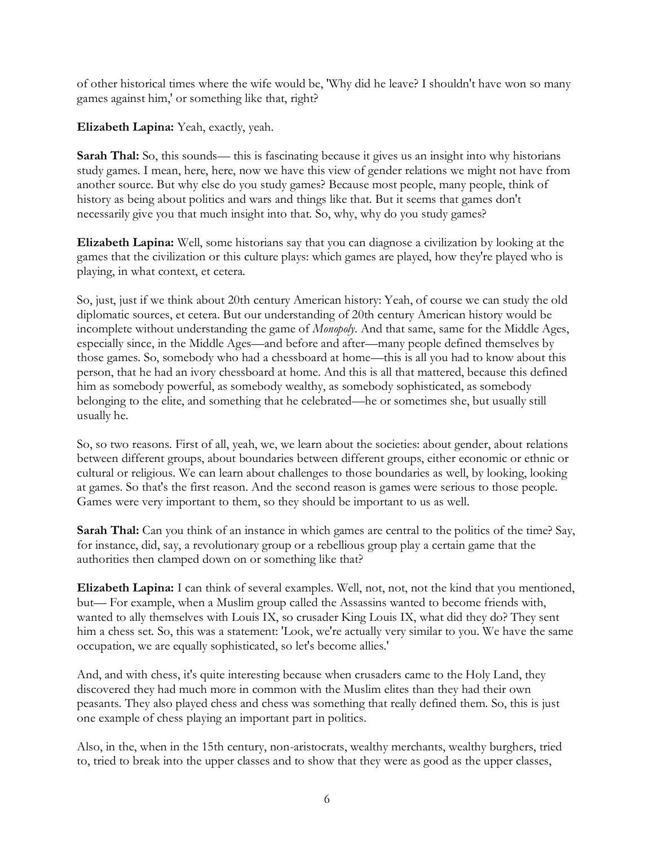of other historical times where the wife would be, 'Why did he leave? I shouldn't have won so many games against him,' or something like that, right?

**Elizabeth Lapina:** Yeah, exactly, yeah.

**Sarah Thal:** So, this sounds— this is fascinating because it gives us an insight into why historians study games. I mean, here, here, now we have this view of gender relations we might not have from another source. But why else do you study games? Because most people, many people, think of history as being about politics and wars and things like that. But it seems that games don't necessarily give you that much insight into that. So, why, why do you study games?

**Elizabeth Lapina:** Well, some historians say that you can diagnose a civilization by looking at the games that the civilization or this culture plays: which games are played, how they're played who is playing, in what context, et cetera.

So, just, just if we think about 20th century American history: Yeah, of course we can study the old diplomatic sources, et cetera. But our understanding of 20th century American history would be incomplete without understanding the game of *Monopoly*. And that same, same for the Middle Ages, especially since, in the Middle Ages—and before and after—many people defined themselves by those games. So, somebody who had a chessboard at home—this is all you had to know about this person, that he had an ivory chessboard at home. And this is all that mattered, because this defined him as somebody powerful, as somebody wealthy, as somebody sophisticated, as somebody belonging to the elite, and something that he celebrated—he or sometimes she, but usually still usually he.

So, so two reasons. First of all, yeah, we, we learn about the societies: about gender, about relations between different groups, about boundaries between different groups, either economic or ethnic or cultural or religious. We can learn about challenges to those boundaries as well, by looking, looking at games. So that's the first reason. And the second reason is games were serious to those people. Games were very important to them, so they should be important to us as well.

**Sarah Thal:** Can you think of an instance in which games are central to the politics of the time? Say, for instance, did, say, a revolutionary group or a rebellious group play a certain game that the authorities then clamped down on or something like that?

**Elizabeth Lapina:** I can think of several examples. Well, not, not, not the kind that you mentioned, but— For example, when a Muslim group called the Assassins wanted to become friends with, wanted to ally themselves with Louis IX, so crusader King Louis IX, what did they do? They sent him a chess set. So, this was a statement: 'Look, we're actually very similar to you. We have the same occupation, we are equally sophisticated, so let's become allies.'

And, and with chess, it's quite interesting because when crusaders came to the Holy Land, they discovered they had much more in common with the Muslim elites than they had their own peasants. They also played chess and chess was something that really defined them. So, this is just one example of chess playing an important part in politics.

Also, in the, when in the 15th century, non-aristocrats, wealthy merchants, wealthy burghers, tried to, tried to break into the upper classes and to show that they were as good as the upper classes,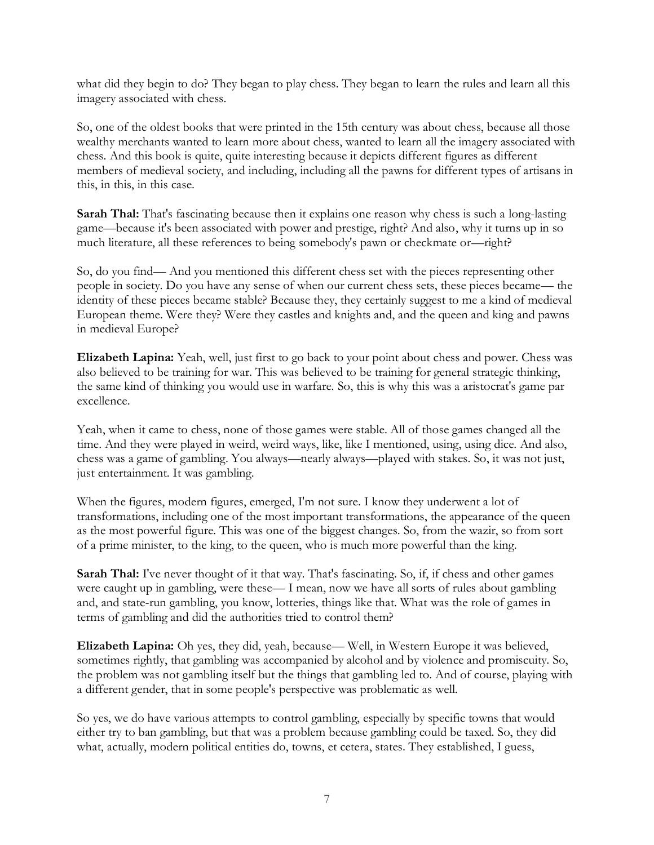what did they begin to do? They began to play chess. They began to learn the rules and learn all this imagery associated with chess.

So, one of the oldest books that were printed in the 15th century was about chess, because all those wealthy merchants wanted to learn more about chess, wanted to learn all the imagery associated with chess. And this book is quite, quite interesting because it depicts different figures as different members of medieval society, and including, including all the pawns for different types of artisans in this, in this, in this case.

**Sarah Thal:** That's fascinating because then it explains one reason why chess is such a long-lasting game—because it's been associated with power and prestige, right? And also, why it turns up in so much literature, all these references to being somebody's pawn or checkmate or—right?

So, do you find— And you mentioned this different chess set with the pieces representing other people in society. Do you have any sense of when our current chess sets, these pieces became— the identity of these pieces became stable? Because they, they certainly suggest to me a kind of medieval European theme. Were they? Were they castles and knights and, and the queen and king and pawns in medieval Europe?

**Elizabeth Lapina:** Yeah, well, just first to go back to your point about chess and power. Chess was also believed to be training for war. This was believed to be training for general strategic thinking, the same kind of thinking you would use in warfare. So, this is why this was a aristocrat's game par excellence.

Yeah, when it came to chess, none of those games were stable. All of those games changed all the time. And they were played in weird, weird ways, like, like I mentioned, using, using dice. And also, chess was a game of gambling. You always—nearly always—played with stakes. So, it was not just, just entertainment. It was gambling.

When the figures, modern figures, emerged, I'm not sure. I know they underwent a lot of transformations, including one of the most important transformations, the appearance of the queen as the most powerful figure. This was one of the biggest changes. So, from the wazir, so from sort of a prime minister, to the king, to the queen, who is much more powerful than the king.

**Sarah Thal:** I've never thought of it that way. That's fascinating. So, if, if chess and other games were caught up in gambling, were these— I mean, now we have all sorts of rules about gambling and, and state-run gambling, you know, lotteries, things like that. What was the role of games in terms of gambling and did the authorities tried to control them?

**Elizabeth Lapina:** Oh yes, they did, yeah, because— Well, in Western Europe it was believed, sometimes rightly, that gambling was accompanied by alcohol and by violence and promiscuity. So, the problem was not gambling itself but the things that gambling led to. And of course, playing with a different gender, that in some people's perspective was problematic as well.

So yes, we do have various attempts to control gambling, especially by specific towns that would either try to ban gambling, but that was a problem because gambling could be taxed. So, they did what, actually, modern political entities do, towns, et cetera, states. They established, I guess,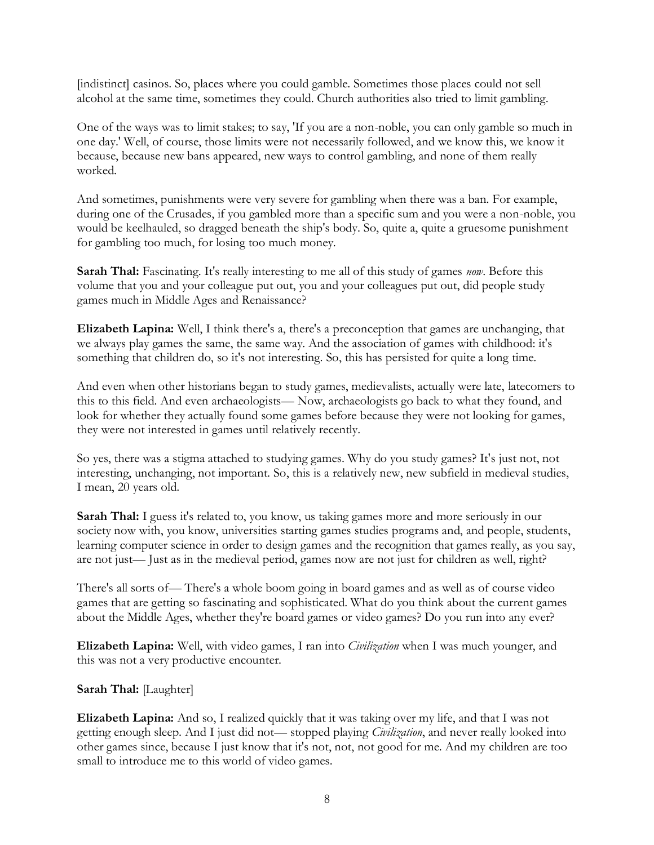[indistinct] casinos. So, places where you could gamble. Sometimes those places could not sell alcohol at the same time, sometimes they could. Church authorities also tried to limit gambling.

One of the ways was to limit stakes; to say, 'If you are a non-noble, you can only gamble so much in one day.' Well, of course, those limits were not necessarily followed, and we know this, we know it because, because new bans appeared, new ways to control gambling, and none of them really worked.

And sometimes, punishments were very severe for gambling when there was a ban. For example, during one of the Crusades, if you gambled more than a specific sum and you were a non-noble, you would be keelhauled, so dragged beneath the ship's body. So, quite a, quite a gruesome punishment for gambling too much, for losing too much money.

**Sarah Thal:** Fascinating. It's really interesting to me all of this study of games *now*. Before this volume that you and your colleague put out, you and your colleagues put out, did people study games much in Middle Ages and Renaissance?

**Elizabeth Lapina:** Well, I think there's a, there's a preconception that games are unchanging, that we always play games the same, the same way. And the association of games with childhood: it's something that children do, so it's not interesting. So, this has persisted for quite a long time.

And even when other historians began to study games, medievalists, actually were late, latecomers to this to this field. And even archaeologists— Now, archaeologists go back to what they found, and look for whether they actually found some games before because they were not looking for games, they were not interested in games until relatively recently.

So yes, there was a stigma attached to studying games. Why do you study games? It's just not, not interesting, unchanging, not important. So, this is a relatively new, new subfield in medieval studies, I mean, 20 years old.

Sarah Thal: I guess it's related to, you know, us taking games more and more seriously in our society now with, you know, universities starting games studies programs and, and people, students, learning computer science in order to design games and the recognition that games really, as you say, are not just— Just as in the medieval period, games now are not just for children as well, right?

There's all sorts of— There's a whole boom going in board games and as well as of course video games that are getting so fascinating and sophisticated. What do you think about the current games about the Middle Ages, whether they're board games or video games? Do you run into any ever?

**Elizabeth Lapina:** Well, with video games, I ran into *Civilization* when I was much younger, and this was not a very productive encounter.

### **Sarah Thal:** [Laughter]

**Elizabeth Lapina:** And so, I realized quickly that it was taking over my life, and that I was not getting enough sleep. And I just did not— stopped playing *Civilization*, and never really looked into other games since, because I just know that it's not, not, not good for me. And my children are too small to introduce me to this world of video games.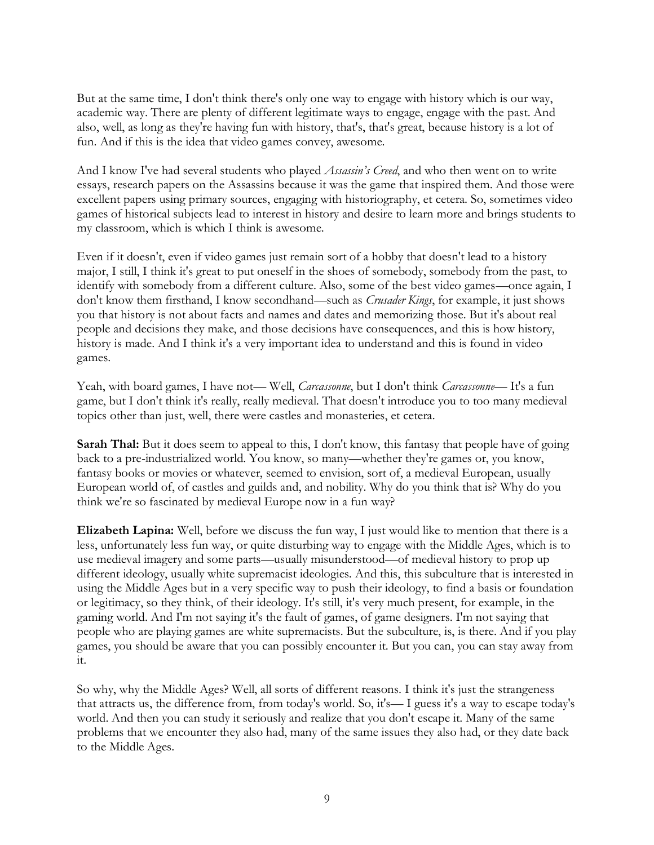But at the same time, I don't think there's only one way to engage with history which is our way, academic way. There are plenty of different legitimate ways to engage, engage with the past. And also, well, as long as they're having fun with history, that's, that's great, because history is a lot of fun. And if this is the idea that video games convey, awesome.

And I know I've had several students who played *Assassin's Creed*, and who then went on to write essays, research papers on the Assassins because it was the game that inspired them. And those were excellent papers using primary sources, engaging with historiography, et cetera. So, sometimes video games of historical subjects lead to interest in history and desire to learn more and brings students to my classroom, which is which I think is awesome.

Even if it doesn't, even if video games just remain sort of a hobby that doesn't lead to a history major, I still, I think it's great to put oneself in the shoes of somebody, somebody from the past, to identify with somebody from a different culture. Also, some of the best video games—once again, I don't know them firsthand, I know secondhand—such as *Crusader Kings*, for example, it just shows you that history is not about facts and names and dates and memorizing those. But it's about real people and decisions they make, and those decisions have consequences, and this is how history, history is made. And I think it's a very important idea to understand and this is found in video games.

Yeah, with board games, I have not— Well, *Carcassonne*, but I don't think *Carcassonne*— It's a fun game, but I don't think it's really, really medieval. That doesn't introduce you to too many medieval topics other than just, well, there were castles and monasteries, et cetera.

**Sarah Thal:** But it does seem to appeal to this, I don't know, this fantasy that people have of going back to a pre-industrialized world. You know, so many—whether they're games or, you know, fantasy books or movies or whatever, seemed to envision, sort of, a medieval European, usually European world of, of castles and guilds and, and nobility. Why do you think that is? Why do you think we're so fascinated by medieval Europe now in a fun way?

**Elizabeth Lapina:** Well, before we discuss the fun way, I just would like to mention that there is a less, unfortunately less fun way, or quite disturbing way to engage with the Middle Ages, which is to use medieval imagery and some parts—usually misunderstood—of medieval history to prop up different ideology, usually white supremacist ideologies. And this, this subculture that is interested in using the Middle Ages but in a very specific way to push their ideology, to find a basis or foundation or legitimacy, so they think, of their ideology. It's still, it's very much present, for example, in the gaming world. And I'm not saying it's the fault of games, of game designers. I'm not saying that people who are playing games are white supremacists. But the subculture, is, is there. And if you play games, you should be aware that you can possibly encounter it. But you can, you can stay away from it.

So why, why the Middle Ages? Well, all sorts of different reasons. I think it's just the strangeness that attracts us, the difference from, from today's world. So, it's— I guess it's a way to escape today's world. And then you can study it seriously and realize that you don't escape it. Many of the same problems that we encounter they also had, many of the same issues they also had, or they date back to the Middle Ages.